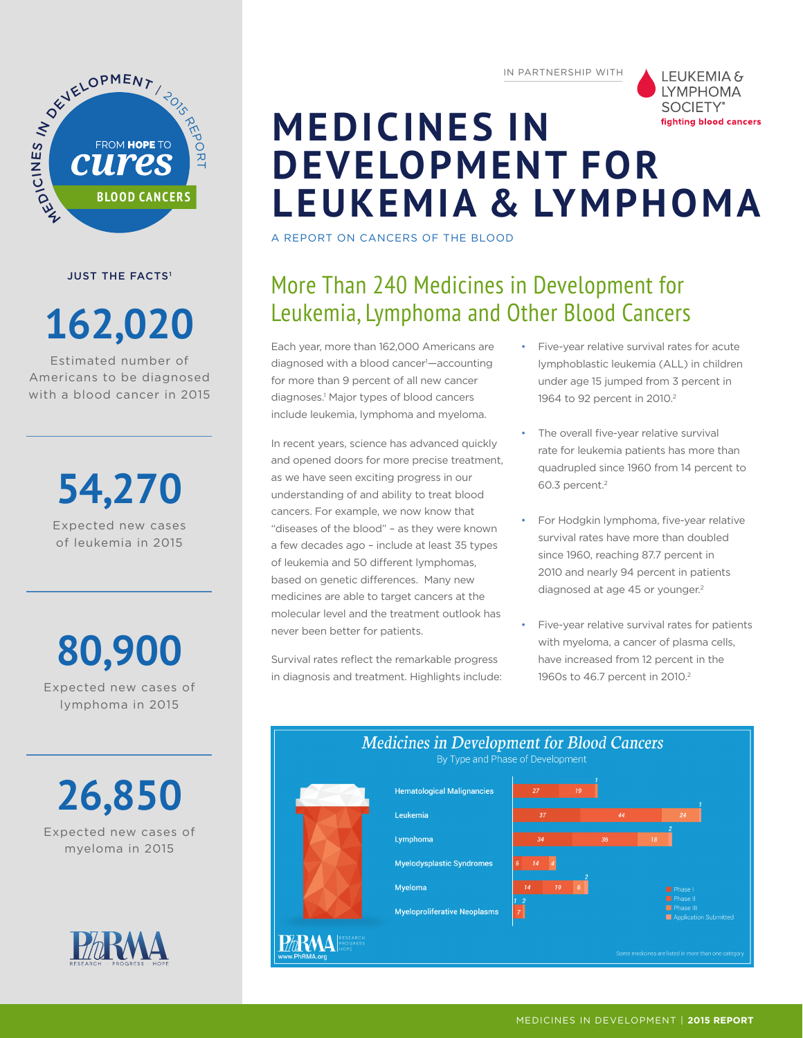

**JUST THE FACTS<sup>1</sup>** 

# **162,020**

Estimated number of Americans to be diagnosed with a blood cancer in 2015

> **54,270** Expected new cases of leukemia in 2015

**80,900**

Expected new cases of lymphoma in 2015

**26,850** Expected new cases of myeloma in 2015



IN PARTNERSHIP WITH



## **MEDICINES IN DEVELOPMENT FOR LEUKEMIA & LYMPHOMA**

A REPORT ON CANCERS OF THE BLOOD

### More Than 240 Medicines in Development for Leukemia, Lymphoma and Other Blood Cancers

Each year, more than 162,000 Americans are diagnosed with a blood cancer<sup>1</sup>—accounting for more than 9 percent of all new cancer diagnoses.1 Major types of blood cancers include leukemia, lymphoma and myeloma.

In recent years, science has advanced quickly and opened doors for more precise treatment, as we have seen exciting progress in our understanding of and ability to treat blood cancers. For example, we now know that "diseases of the blood" – as they were known a few decades ago – include at least 35 types of leukemia and 50 different lymphomas, based on genetic differences. Many new medicines are able to target cancers at the molecular level and the treatment outlook has never been better for patients.

Survival rates reflect the remarkable progress in diagnosis and treatment. Highlights include:

- Five-year relative survival rates for acute lymphoblastic leukemia (ALL) in children under age 15 jumped from 3 percent in 1964 to 92 percent in 2010.<sup>2</sup>
- The overall five-year relative survival rate for leukemia patients has more than quadrupled since 1960 from 14 percent to 60.3 percent.2
- For Hodgkin lymphoma, five-year relative survival rates have more than doubled since 1960, reaching 87.7 percent in 2010 and nearly 94 percent in patients diagnosed at age 45 or younger.<sup>2</sup>
- Five-year relative survival rates for patients with myeloma, a cancer of plasma cells, have increased from 12 percent in the 1960s to 46.7 percent in 2010.<sup>2</sup>

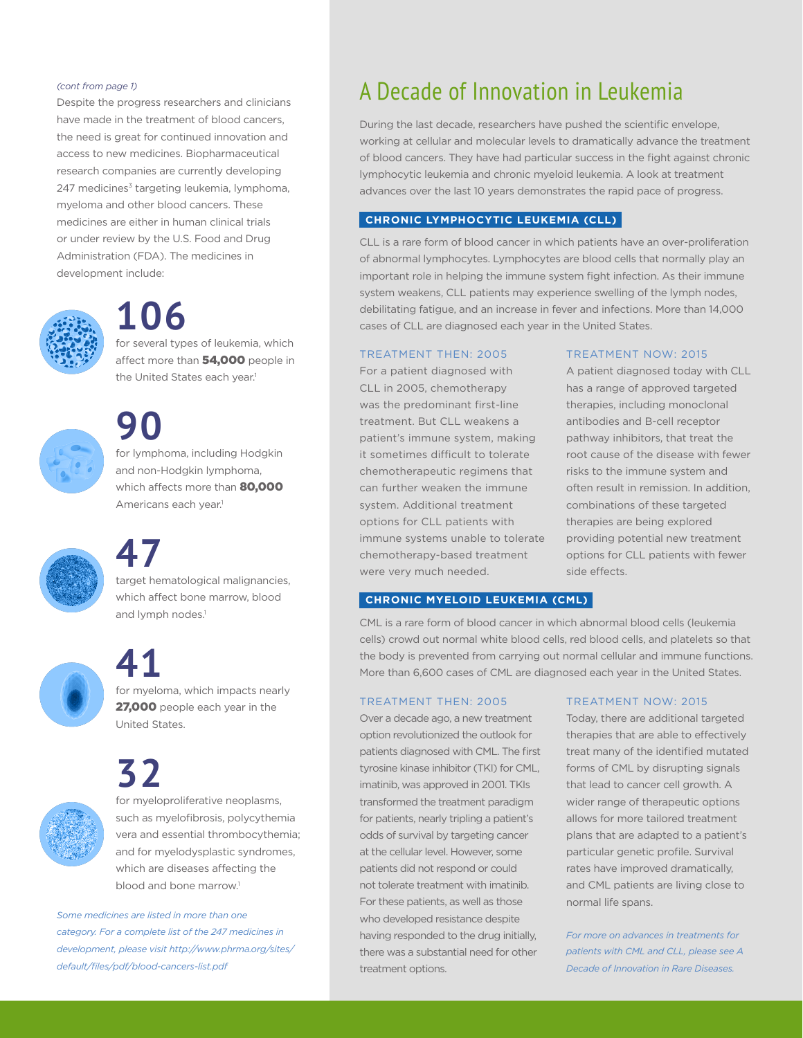#### *(cont from page 1)*

Despite the progress researchers and clinicians have made in the treatment of blood cancers, the need is great for continued innovation and access to new medicines. Biopharmaceutical research companies are currently developing 247 medicines<sup>3</sup> targeting leukemia, lymphoma, myeloma and other blood cancers. These medicines are either in human clinical trials or under review by the U.S. Food and Drug Administration (FDA). The medicines in development include:



## **106**

for several types of leukemia, which affect more than 54,000 people in the United States each year.<sup>1</sup>



# **90**

for lymphoma, including Hodgkin and non-Hodgkin lymphoma, which affects more than 80,000 Americans each year.<sup>1</sup>



## **47**

target hematological malignancies, which affect bone marrow, blood and lymph nodes.<sup>1</sup>

United States.

**41** for myeloma, which impacts nearly 27,000 people each year in the

**32**



for myeloproliferative neoplasms, such as myelofibrosis, polycythemia vera and essential thrombocythemia; and for myelodysplastic syndromes, which are diseases affecting the blood and bone marrow.<sup>1</sup>

*Some medicines are listed in more than one category. For a complete list of the 247 medicines in development, please visit http://www.phrma.org/sites/ default/files/pdf/blood-cancers-list.pdf*

### A Decade of Innovation in Leukemia

During the last decade, researchers have pushed the scientific envelope, working at cellular and molecular levels to dramatically advance the treatment of blood cancers. They have had particular success in the fight against chronic lymphocytic leukemia and chronic myeloid leukemia. A look at treatment advances over the last 10 years demonstrates the rapid pace of progress.

#### **CHRONIC LYMPHOCYTIC LEUKEMIA (CLL)**

CLL is a rare form of blood cancer in which patients have an over-proliferation of abnormal lymphocytes. Lymphocytes are blood cells that normally play an important role in helping the immune system fight infection. As their immune system weakens, CLL patients may experience swelling of the lymph nodes, debilitating fatigue, and an increase in fever and infections. More than 14,000 cases of CLL are diagnosed each year in the United States.

#### TREATMENT THEN: 2005

For a patient diagnosed with CLL in 2005, chemotherapy was the predominant first-line treatment. But CLL weakens a patient's immune system, making it sometimes difficult to tolerate chemotherapeutic regimens that can further weaken the immune system. Additional treatment options for CLL patients with immune systems unable to tolerate chemotherapy-based treatment were very much needed.

#### TREATMENT NOW: 2015

A patient diagnosed today with CLL has a range of approved targeted therapies, including monoclonal antibodies and B-cell receptor pathway inhibitors, that treat the root cause of the disease with fewer risks to the immune system and often result in remission. In addition, combinations of these targeted therapies are being explored providing potential new treatment options for CLL patients with fewer side effects.

#### **CHRONIC MYELOID LEUKEMIA (CML)**

CML is a rare form of blood cancer in which abnormal blood cells (leukemia cells) crowd out normal white blood cells, red blood cells, and platelets so that the body is prevented from carrying out normal cellular and immune functions. More than 6,600 cases of CML are diagnosed each year in the United States.

#### TREATMENT THEN: 2005

Over a decade ago, a new treatment option revolutionized the outlook for patients diagnosed with CML. The first tyrosine kinase inhibitor (TKI) for CML, imatinib, was approved in 2001. TKIs transformed the treatment paradigm for patients, nearly tripling a patient's odds of survival by targeting cancer at the cellular level. However, some patients did not respond or could not tolerate treatment with imatinib. For these patients, as well as those who developed resistance despite having responded to the drug initially, there was a substantial need for other treatment options.

#### TREATMENT NOW: 2015

Today, there are additional targeted therapies that are able to effectively treat many of the identified mutated forms of CML by disrupting signals that lead to cancer cell growth. A wider range of therapeutic options allows for more tailored treatment plans that are adapted to a patient's particular genetic profile. Survival rates have improved dramatically, and CML patients are living close to normal life spans.

*For more on advances in treatments for patients with CML and CLL, please see A Decade of Innovation in Rare Diseases.*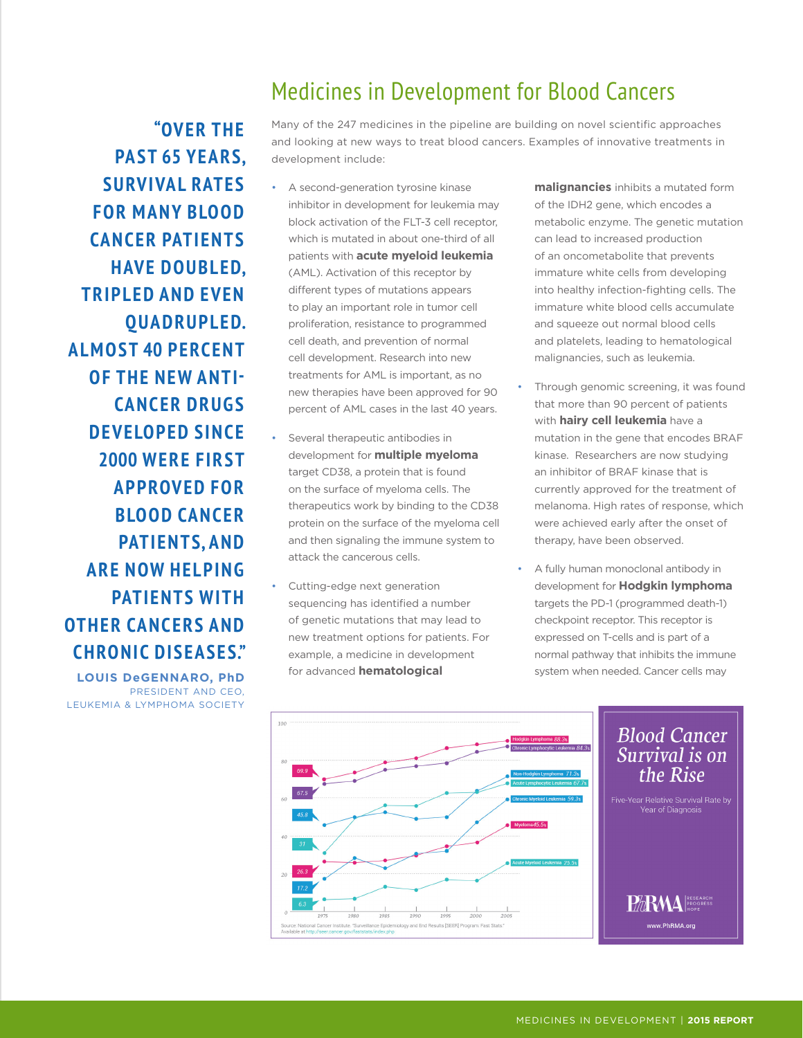### Medicines in Development for Blood Cancers

Many of the 247 medicines in the pipeline are building on novel scientific approaches and looking at new ways to treat blood cancers. Examples of innovative treatments in development include:

- A second-generation tyrosine kinase inhibitor in development for leukemia may block activation of the FLT-3 cell receptor, which is mutated in about one-third of all patients with **acute myeloid leukemia**  (AML). Activation of this receptor by different types of mutations appears to play an important role in tumor cell proliferation, resistance to programmed cell death, and prevention of normal cell development. Research into new treatments for AML is important, as no new therapies have been approved for 90 percent of AML cases in the last 40 years.
- Several therapeutic antibodies in development for **multiple myeloma** target CD38, a protein that is found on the surface of myeloma cells. The therapeutics work by binding to the CD38 protein on the surface of the myeloma cell and then signaling the immune system to attack the cancerous cells.
- Cutting-edge next generation sequencing has identified a number of genetic mutations that may lead to new treatment options for patients. For example, a medicine in development for advanced **hematological**

**malignancies** inhibits a mutated form of the IDH2 gene, which encodes a metabolic enzyme. The genetic mutation can lead to increased production of an oncometabolite that prevents immature white cells from developing into healthy infection-fighting cells. The immature white blood cells accumulate and squeeze out normal blood cells and platelets, leading to hematological malignancies, such as leukemia.

- Through genomic screening, it was found that more than 90 percent of patients with **hairy cell leukemia** have a mutation in the gene that encodes BRAF kinase. Researchers are now studying an inhibitor of BRAF kinase that is currently approved for the treatment of melanoma. High rates of response, which were achieved early after the onset of therapy, have been observed.
- A fully human monoclonal antibody in development for **Hodgkin lymphoma** targets the PD-1 (programmed death-1) checkpoint receptor. This receptor is expressed on T-cells and is part of a normal pathway that inhibits the immune system when needed. Cancer cells may



**"OVER THE PAST 65 YEARS, SURVIVAL RATES FOR MANY BLOOD CANCER PATIENTS HAVE DOUBLED, TRIPLED AND EVEN QUADRUPLED. ALMOST 40 PERCENT OF THE NEW ANTI-CANCER DRUGS DEVELOPED SINCE 2000 WERE FIRST APPROVED FOR BLOOD CANCER PATIENTS, AND ARE NOW HELPING PATIENTS WITH OTHER CANCERS AND CHRONIC DISEASES."**

**LOUIS DeGENNARO, PhD** PRESIDENT AND CEO, LEUKEMIA & LYMPHOMA SOCIETY